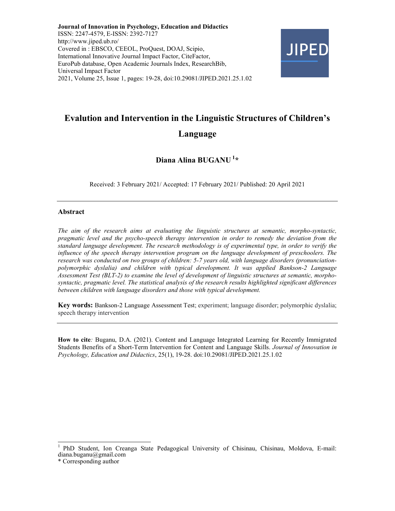Journal of Innovation in Psychology, Education and Didactics ISSN: 2247-4579, E-ISSN: 2392-7127 http://www.jiped.ub.ro/ Covered in : EBSCO, CEEOL, ProQuest, DOAJ, Scipio, International Innovative Journal Impact Factor, CiteFactor, EuroPub database, Open Academic Journals Index, ResearchBib, Universal Impact Factor 2021, Volume 25, Issue 1, pages: 19-28, doi:10.29081/JIPED.2021.25.1.02



# Evalution and Intervention in the Linguistic Structures of Children's Language

# Diana Alina BUGANU<sup>1\*</sup>

Received: 3 February 2021/ Accepted: 17 February 2021/ Published: 20 April 2021

#### Abstract

The aim of the research aims at evaluating the linguistic structures at semantic, morpho-syntactic, pragmatic level and the psycho-speech therapy intervention in order to remedy the deviation from the standard language development. The research methodology is of experimental type, in order to verify the influence of the speech therapy intervention program on the language development of preschoolers. The research was conducted on two groups of children: 5-7 years old, with language disorders (pronunciationpolymorphic dyslalia) and children with typical development. It was applied Bankson-2 Language Assessment Test (BLT-2) to examine the level of development of linguistic structures at semantic, morphosyntactic, pragmatic level. The statistical analysis of the research results highlighted significant differences between children with language disorders and those with typical development.

Key words: Bankson-2 Language Assessment Test; experiment; language disorder; polymorphic dyslalia; speech therapy intervention

How to cite: Buganu, D.A. (2021). Content and Language Integrated Learning for Recently Immigrated Students Benefits of a Short-Term Intervention for Content and Language Skills. Journal of Innovation in Psychology, Education and Didactics, 25(1), 19-28. doi:10.29081/JIPED.2021.25.1.02

 $\frac{1}{2}$ 

<sup>1</sup>PhD Student, Ion Creanga State Pedagogical University of Chisinau, Chisinau, Moldova, E-mail: diana.buganu@gmail.com

<sup>\*</sup> Corresponding author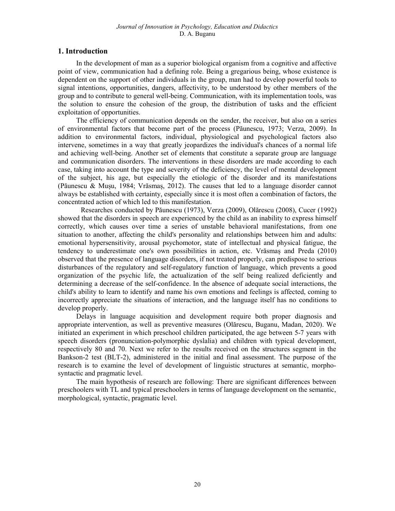# 1. Introduction

In the development of man as a superior biological organism from a cognitive and affective point of view, communication had a defining role. Being a gregarious being, whose existence is dependent on the support of other individuals in the group, man had to develop powerful tools to signal intentions, opportunities, dangers, affectivity, to be understood by other members of the group and to contribute to general well-being. Communication, with its implementation tools, was the solution to ensure the cohesion of the group, the distribution of tasks and the efficient exploitation of opportunities.

The efficiency of communication depends on the sender, the receiver, but also on a series of environmental factors that become part of the process (Păunescu, 1973; Verza, 2009). In addition to environmental factors, individual, physiological and psychological factors also intervene, sometimes in a way that greatly jeopardizes the individual's chances of a normal life and achieving well-being. Another set of elements that constitute a separate group are language and communication disorders. The interventions in these disorders are made according to each case, taking into account the type and severity of the deficiency, the level of mental development of the subject, his age, but especially the etiologic of the disorder and its manifestations (Păunescu & Mușu, 1984; Vrăsmaș, 2012). The causes that led to a language disorder cannot always be established with certainty, especially since it is most often a combination of factors, the concentrated action of which led to this manifestation.

Researches conducted by Păunescu (1973), Verza (2009), Olărescu (2008), Cucer (1992) showed that the disorders in speech are experienced by the child as an inability to express himself correctly, which causes over time a series of unstable behavioral manifestations, from one situation to another, affecting the child's personality and relationships between him and adults: emotional hypersensitivity, arousal psychomotor, state of intellectual and physical fatigue, the tendency to underestimate one's own possibilities in action, etc. Vrăsmaș and Preda (2010) observed that the presence of language disorders, if not treated properly, can predispose to serious disturbances of the regulatory and self-regulatory function of language, which prevents a good organization of the psychic life, the actualization of the self being realized deficiently and determining a decrease of the self-confidence. In the absence of adequate social interactions, the child's ability to learn to identify and name his own emotions and feelings is affected, coming to incorrectly appreciate the situations of interaction, and the language itself has no conditions to develop properly.

Delays in language acquisition and development require both proper diagnosis and appropriate intervention, as well as preventive measures (Olărescu, Buganu, Madan, 2020). We initiated an experiment in which preschool children participated, the age between 5-7 years with speech disorders (pronunciation-polymorphic dyslalia) and children with typical development, respectively 80 and 70. Next we refer to the results received on the structures segment in the Bankson-2 test (BLT-2), administered in the initial and final assessment. The purpose of the research is to examine the level of development of linguistic structures at semantic, morphosyntactic and pragmatic level.

The main hypothesis of research are following: There are significant differences between preschoolers with TL and typical preschoolers in terms of language development on the semantic, morphological, syntactic, pragmatic level.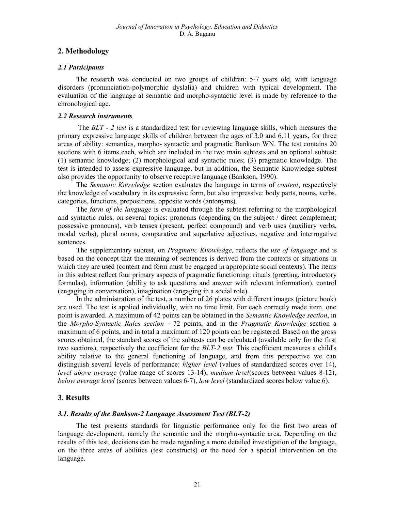# 2. Methodology

## 2.1 Participants

The research was conducted on two groups of children: 5-7 years old, with language disorders (pronunciation-polymorphic dyslalia) and children with typical development. The evaluation of the language at semantic and morpho-syntactic level is made by reference to the chronological age.

#### 2.2 Research instruments

 The BLT - 2 test is a standardized test for reviewing language skills, which measures the primary expressive language skills of children between the ages of 3.0 and 6.11 years, for three areas of ability: semantics, morpho- syntactic and pragmatic Bankson WN. The test contains 20 sections with 6 items each, which are included in the two main subtests and an optional subtest: (1) semantic knowledge; (2) morphological and syntactic rules; (3) pragmatic knowledge. The test is intended to assess expressive language, but in addition, the Semantic Knowledge subtest also provides the opportunity to observe receptive language (Bankson, 1990).

The *Semantic Knowledge* section evaluates the language in terms of *content*, respectively the knowledge of vocabulary in its expressive form, but also impressive: body parts, nouns, verbs, categories, functions, prepositions, opposite words (antonyms).

The form of the language is evaluated through the subtest referring to the morphological and syntactic rules, on several topics: pronouns (depending on the subject / direct complement; possessive pronouns), verb tenses (present, perfect compound) and verb uses (auxiliary verbs, modal verbs), plural nouns, comparative and superlative adjectives, negative and interrogative sentences.

The supplementary subtest, on *Pragmatic Knowledge*, reflects the use of language and is based on the concept that the meaning of sentences is derived from the contexts or situations in which they are used (content and form must be engaged in appropriate social contexts). The items in this subtest reflect four primary aspects of pragmatic functioning: rituals (greeting, introductory formulas), information (ability to ask questions and answer with relevant information), control (engaging in conversation), imagination (engaging in a social role).

In the administration of the test, a number of 26 plates with different images (picture book) are used. The test is applied individually, with no time limit. For each correctly made item, one point is awarded. A maximum of 42 points can be obtained in the Semantic Knowledge section, in the Morpho-Syntactic Rules section - 72 points, and in the Pragmatic Knowledge section a maximum of 6 points, and in total a maximum of 120 points can be registered. Based on the gross scores obtained, the standard scores of the subtests can be calculated (available only for the first two sections), respectively the coefficient for the BLT-2 test. This coefficient measures a child's ability relative to the general functioning of language, and from this perspective we can distinguish several levels of performance: *higher level* (values of standardized scores over 14), level above average (value range of scores 13-14), medium level(scores between values 8-12), below average level (scores between values 6-7), low level (standardized scores below value 6).

# 3. Results

## 3.1. Results of the Bankson-2 Language Assessment Test (BLT-2)

The test presents standards for linguistic performance only for the first two areas of language development, namely the semantic and the morpho-syntactic area. Depending on the results of this test, decisions can be made regarding a more detailed investigation of the language, on the three areas of abilities (test constructs) or the need for a special intervention on the language.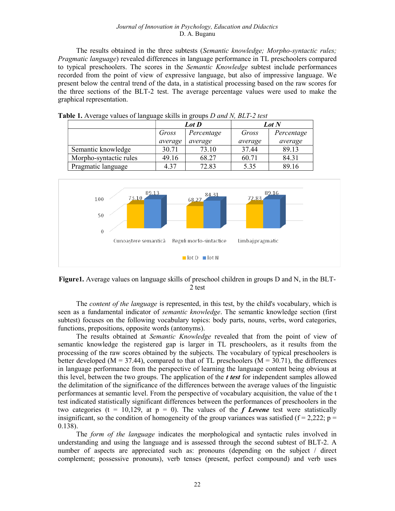#### Journal of Innovation in Psychology, Education and Didactics D. A. Buganu

The results obtained in the three subtests (Semantic knowledge; Morpho-syntactic rules; Pragmatic language) revealed differences in language performance in TL preschoolers compared to typical preschoolers. The scores in the Semantic Knowledge subtest include performances recorded from the point of view of expressive language, but also of impressive language. We present below the central trend of the data, in a statistical processing based on the raw scores for the three sections of the BLT-2 test. The average percentage values were used to make the graphical representation.

|                        |         | Lot D      | <b>Lot</b> N |            |  |  |
|------------------------|---------|------------|--------------|------------|--|--|
|                        | Gross   | Percentage | Gross        | Percentage |  |  |
|                        | average | average    | average      | average    |  |  |
| Semantic knowledge     | 30.71   | 73.10      | 37.44        | 89.13      |  |  |
| Morpho-syntactic rules | 49.16   | 68.27      | 60.71        | 84.31      |  |  |
| Pragmatic language     | 4.37    | 72.83      | 5.35         | 89.16      |  |  |

**Table 1.** Average values of language skills in groups D and N, BLT-2 test



Figure1. Average values on language skills of preschool children in groups D and N, in the BLT-2 test

The *content of the language* is represented, in this test, by the child's vocabulary, which is seen as a fundamental indicator of *semantic knowledge*. The semantic knowledge section (first subtest) focuses on the following vocabulary topics: body parts, nouns, verbs, word categories, functions, prepositions, opposite words (antonyms).

The results obtained at *Semantic Knowledge* revealed that from the point of view of semantic knowledge the registered gap is larger in TL preschoolers, as it results from the processing of the raw scores obtained by the subjects. The vocabulary of typical preschoolers is better developed ( $M = 37.44$ ), compared to that of TL preschoolers ( $M = 30.71$ ), the differences in language performance from the perspective of learning the language content being obvious at this level, between the two groups. The application of the *t test* for independent samples allowed the delimitation of the significance of the differences between the average values of the linguistic performances at semantic level. From the perspective of vocabulary acquisition, the value of the t test indicated statistically significant differences between the performances of preschoolers in the two categories (t = 10,129, at  $p = 0$ ). The values of the *f Levene* test were statistically insignificant, so the condition of homogeneity of the group variances was satisfied ( $f = 2,222$ ;  $p =$ 0.138).

The *form of the language* indicates the morphological and syntactic rules involved in understanding and using the language and is assessed through the second subtest of BLT-2. A number of aspects are appreciated such as: pronouns (depending on the subject / direct complement; possessive pronouns), verb tenses (present, perfect compound) and verb uses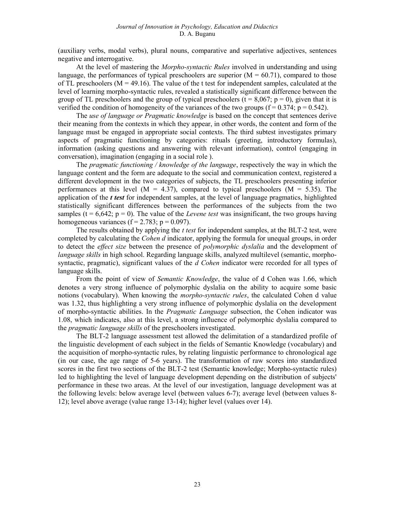(auxiliary verbs, modal verbs), plural nouns, comparative and superlative adjectives, sentences negative and interrogative.

At the level of mastering the Morpho-syntactic Rules involved in understanding and using language, the performances of typical preschoolers are superior  $(M = 60.71)$ , compared to those of TL preschoolers ( $M = 49.16$ ). The value of the t test for independent samples, calculated at the level of learning morpho-syntactic rules, revealed a statistically significant difference between the group of TL preschoolers and the group of typical preschoolers  $(t = 8,067; p = 0)$ , given that it is verified the condition of homogeneity of the variances of the two groups ( $f = 0.374$ ;  $p = 0.542$ ).

The use of language or Pragmatic knowledge is based on the concept that sentences derive their meaning from the contexts in which they appear, in other words, the content and form of the language must be engaged in appropriate social contexts. The third subtest investigates primary aspects of pragmatic functioning by categories: rituals (greeting, introductory formulas), information (asking questions and answering with relevant information), control (engaging in conversation), imagination (engaging in a social role ).

The *pragmatic functioning / knowledge of the language*, respectively the way in which the language content and the form are adequate to the social and communication context, registered a different development in the two categories of subjects, the TL preschoolers presenting inferior performances at this level ( $M = 4.37$ ), compared to typical preschoolers ( $M = 5.35$ ). The application of the  $t$  test for independent samples, at the level of language pragmatics, highlighted statistically significant differences between the performances of the subjects from the two samples (t =  $6.642$ ; p = 0). The value of the *Levene test* was insignificant, the two groups having homogeneous variances ( $f = 2.783$ ;  $p = 0.097$ ).

The results obtained by applying the *t test* for independent samples, at the BLT-2 test, were completed by calculating the *Cohen d* indicator, applying the formula for unequal groups, in order to detect the *effect size* between the presence of *polymorphic dyslalia* and the development of language skills in high school. Regarding language skills, analyzed multilevel (semantic, morphosyntactic, pragmatic), significant values of the d Cohen indicator were recorded for all types of language skills.

From the point of view of Semantic Knowledge, the value of d Cohen was 1.66, which denotes a very strong influence of polymorphic dyslalia on the ability to acquire some basic notions (vocabulary). When knowing the *morpho-syntactic rules*, the calculated Cohen d value was 1.32, thus highlighting a very strong influence of polymorphic dyslalia on the development of morpho-syntactic abilities. In the Pragmatic Language subsection, the Cohen indicator was 1.08, which indicates, also at this level, a strong influence of polymorphic dyslalia compared to the *pragmatic language skills* of the preschoolers investigated.

The BLT-2 language assessment test allowed the delimitation of a standardized profile of the linguistic development of each subject in the fields of Semantic Knowledge (vocabulary) and the acquisition of morpho-syntactic rules, by relating linguistic performance to chronological age (in our case, the age range of 5-6 years). The transformation of raw scores into standardized scores in the first two sections of the BLT-2 test (Semantic knowledge; Morpho-syntactic rules) led to highlighting the level of language development depending on the distribution of subjects' performance in these two areas. At the level of our investigation, language development was at the following levels: below average level (between values 6-7); average level (between values 8- 12); level above average (value range 13-14); higher level (values over 14).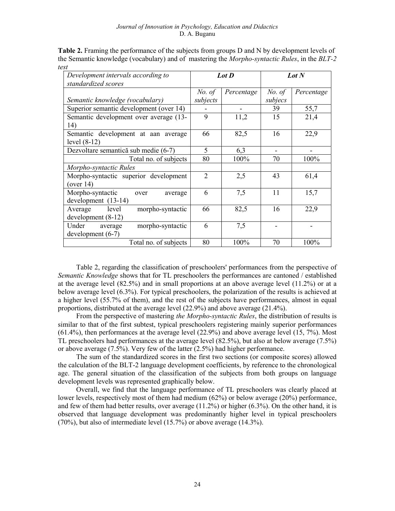| Development intervals according to<br>standardized scores    | Lot D          |            | Lot $N$ |            |
|--------------------------------------------------------------|----------------|------------|---------|------------|
|                                                              | No. of         | Percentage | No. of  | Percentage |
| Semantic knowledge (vocabulary)                              | subjects       |            | subjecs |            |
| Superior semantic development (over 14)                      |                |            | 39      | 55,7       |
| Semantic development over average (13-<br>14)                | 9              | 11,2       | 15      | 21,4       |
| Semantic development at aan average<br>level $(8-12)$        | 66             | 82,5       | 16      | 22,9       |
| Dezvoltare semantică sub medie (6-7)                         | 5              | 6,3        |         |            |
| Total no. of subjects                                        | 80             | 100%       | 70      | 100%       |
| Morpho-syntactic Rules                                       |                |            |         |            |
| Morpho-syntactic superior development<br>(over $14$ )        | $\overline{2}$ | 2,5        | 43      | 61,4       |
| Morpho-syntactic<br>average<br>over<br>development $(13-14)$ | 6              | 7,5        | 11      | 15,7       |
| level<br>morpho-syntactic<br>Average<br>$development(8-12)$  | 66             | 82,5       | 16      | 22,9       |
| morpho-syntactic<br>Under<br>average<br>$development(6-7)$   | 6              | 7,5        |         |            |
| Total no. of subjects                                        | 80             | 100%       | 70      | 100%       |

Table 2. Framing the performance of the subjects from groups D and N by development levels of the Semantic knowledge (vocabulary) and of mastering the *Morpho-syntactic Rules*, in the *BLT-2* test

Table 2, regarding the classification of preschoolers' performances from the perspective of Semantic Knowledge shows that for TL preschoolers the performances are cantoned / established at the average level (82.5%) and in small proportions at an above average level (11.2%) or at a below average level (6.3%). For typical preschoolers, the polarization of the results is achieved at a higher level (55.7% of them), and the rest of the subjects have performances, almost in equal proportions, distributed at the average level (22.9%) and above average (21.4%).

From the perspective of mastering the Morpho-syntactic Rules, the distribution of results is similar to that of the first subtest, typical preschoolers registering mainly superior performances (61.4%), then performances at the average level (22.9%) and above average level (15, 7%). Most TL preschoolers had performances at the average level (82.5%), but also at below average (7.5%) or above average (7.5%). Very few of the latter (2.5%) had higher performance.

The sum of the standardized scores in the first two sections (or composite scores) allowed the calculation of the BLT-2 language development coefficients, by reference to the chronological age. The general situation of the classification of the subjects from both groups on language development levels was represented graphically below.

Overall, we find that the language performance of TL preschoolers was clearly placed at lower levels, respectively most of them had medium (62%) or below average (20%) performance, and few of them had better results, over average (11.2%) or higher (6.3%). On the other hand, it is observed that language development was predominantly higher level in typical preschoolers (70%), but also of intermediate level (15.7%) or above average (14.3%).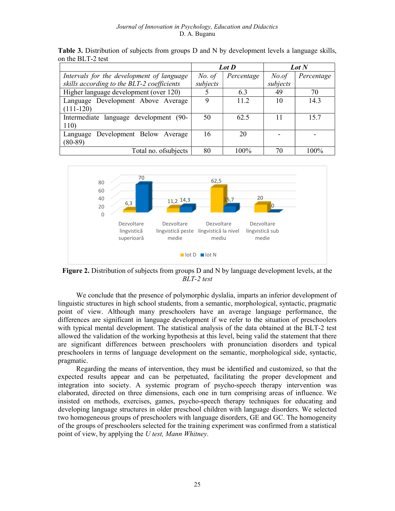|                                            | Lot D    |            | Lot N    |            |
|--------------------------------------------|----------|------------|----------|------------|
| Intervals for the development of language  | No. of   | Percentage | No. of   | Percentage |
| skills according to the BLT-2 coefficients | subjects |            | subjects |            |
| Higher language development (over 120)     |          | 6.3        | 49       | 70         |
| Language Development Above Average         | 9        | 11.2       | 10       | 14.3       |
| $(111-120)$                                |          |            |          |            |
| Intermediate language development (90-     | 50       | 62.5       |          | 15.7       |
| 110)                                       |          |            |          |            |
| Language Development Below Average         | 16       | 20         |          |            |
| $(80-89)$                                  |          |            |          |            |
| Total no. of subjects                      | 80       | 100%       | 70       | 100%       |

Table 3. Distribution of subjects from groups D and N by development levels a language skills, on the BLT-2 test



Figure 2. Distribution of subjects from groups D and N by language development levels, at the BLT-2 test

We conclude that the presence of polymorphic dyslalia, imparts an inferior development of linguistic structures in high school students, from a semantic, morphological, syntactic, pragmatic point of view. Although many preschoolers have an average language performance, the differences are significant in language development if we refer to the situation of preschoolers with typical mental development. The statistical analysis of the data obtained at the BLT-2 test allowed the validation of the working hypothesis at this level, being valid the statement that there are significant differences between preschoolers with pronunciation disorders and typical preschoolers in terms of language development on the semantic, morphological side, syntactic, pragmatic.

Regarding the means of intervention, they must be identified and customized, so that the expected results appear and can be perpetuated, facilitating the proper development and integration into society. A systemic program of psycho-speech therapy intervention was elaborated, directed on three dimensions, each one in turn comprising areas of influence. We insisted on methods, exercises, games, psycho-speech therapy techniques for educating and developing language structures in older preschool children with language disorders. We selected two homogeneous groups of preschoolers with language disorders, GE and GC. The homogeneity of the groups of preschoolers selected for the training experiment was confirmed from a statistical point of view, by applying the U test, Mann Whitney.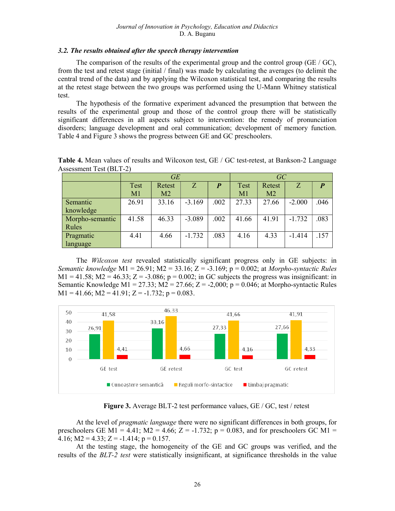## 3.2. The results obtained after the speech therapy intervention

The comparison of the results of the experimental group and the control group (GE / GC), from the test and retest stage (initial / final) was made by calculating the averages (to delimit the central trend of the data) and by applying the Wilcoxon statistical test, and comparing the results at the retest stage between the two groups was performed using the U-Mann Whitney statistical test.

The hypothesis of the formative experiment advanced the presumption that between the results of the experimental group and those of the control group there will be statistically significant differences in all aspects subject to intervention: the remedy of pronunciation disorders; language development and oral communication; development of memory function. Table 4 and Figure 3 shows the progress between GE and GC preschoolers.

|                 | GE    |        |          | GC               |             |                |          |                  |
|-----------------|-------|--------|----------|------------------|-------------|----------------|----------|------------------|
|                 | Test  | Retest | Z        | $\boldsymbol{p}$ | <b>Test</b> | Retest         | Z        | $\boldsymbol{P}$ |
|                 | M1    | M2     |          |                  | M1          | M <sub>2</sub> |          |                  |
| Semantic        | 26.91 | 33.16  | $-3.169$ | .002             | 27.33       | 27.66          | $-2.000$ | .046             |
| knowledge       |       |        |          |                  |             |                |          |                  |
| Morpho-semantic | 41.58 | 46.33  | $-3.089$ | .002             | 41.66       | 41.91          | $-1.732$ | .083             |
| Rules           |       |        |          |                  |             |                |          |                  |
| Pragmatic       | 4.41  | 4.66   | $-1.732$ | .083             | 4.16        | 4.33           | $-1.414$ | .157             |
| language        |       |        |          |                  |             |                |          |                  |

Table 4. Mean values of results and Wilcoxon test, GE / GC test-retest, at Bankson-2 Language Assessment Test (BLT-2)

The Wilcoxon test revealed statistically significant progress only in GE subjects: in Semantic knowledge M1 = 26.91; M2 = 33.16; Z = -3.169; p = 0.002; at Morpho-syntactic Rules  $M1 = 41.58$ ;  $M2 = 46.33$ ;  $Z = -3.086$ ;  $p = 0.002$ ; in GC subjects the progress was insignificant: in Semantic Knowledge M1 = 27.33; M2 = 27.66; Z = -2,000; p = 0.046; at Morpho-syntactic Rules  $M1 = 41.66$ ;  $M2 = 41.91$ ;  $Z = -1.732$ ;  $p = 0.083$ .



Figure 3. Average BLT-2 test performance values, GE / GC, test / retest

At the level of *pragmatic language* there were no significant differences in both groups, for preschoolers GE M1 = 4.41;  $M2 = 4.66$ ;  $Z = -1.732$ ;  $p = 0.083$ , and for preschoolers GC M1 = 4.16; M2 = 4.33; Z = -1.414;  $p = 0.157$ .

At the testing stage, the homogeneity of the GE and GC groups was verified, and the results of the BLT-2 test were statistically insignificant, at significance thresholds in the value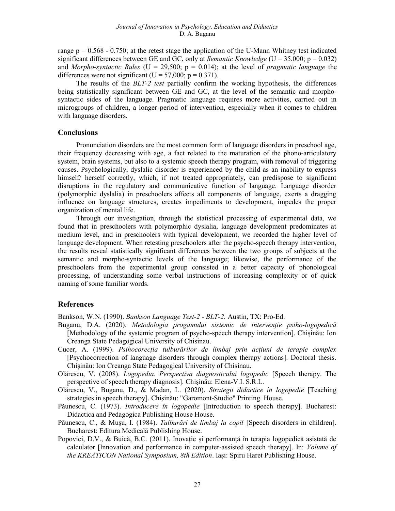range  $p = 0.568 - 0.750$ ; at the retest stage the application of the U-Mann Whitney test indicated significant differences between GE and GC, only at *Semantic Knowledge* ( $U = 35,000$ ;  $p = 0.032$ ) and *Morpho-syntactic Rules* (U = 29,500;  $p = 0.014$ ); at the level of *pragmatic language* the differences were not significant (U =  $57,000$ ; p = 0.371).

The results of the BLT-2 test partially confirm the working hypothesis, the differences being statistically significant between GE and GC, at the level of the semantic and morphosyntactic sides of the language. Pragmatic language requires more activities, carried out in microgroups of children, a longer period of intervention, especially when it comes to children with language disorders.

#### **Conclusions**

Pronunciation disorders are the most common form of language disorders in preschool age, their frequency decreasing with age, a fact related to the maturation of the phono-articulatory system, brain systems, but also to a systemic speech therapy program, with removal of triggering causes. Psychologically, dyslalic disorder is experienced by the child as an inability to express himself/ herself correctly, which, if not treated appropriately, can predispose to significant disruptions in the regulatory and communicative function of language. Language disorder (polymorphic dyslalia) in preschoolers affects all components of language, exerts a dragging influence on language structures, creates impediments to development, impedes the proper organization of mental life.

Through our investigation, through the statistical processing of experimental data, we found that in preschoolers with polymorphic dyslalia, language development predominates at medium level, and in preschoolers with typical development, we recorded the higher level of language development. When retesting preschoolers after the psycho-speech therapy intervention, the results reveal statistically significant differences between the two groups of subjects at the semantic and morpho-syntactic levels of the language; likewise, the performance of the preschoolers from the experimental group consisted in a better capacity of phonological processing, of understanding some verbal instructions of increasing complexity or of quick naming of some familiar words.

## References

Bankson, W.N. (1990). *Bankson Language Test-2 - BLT-2.* Austin, TX: Pro-Ed.

- Buganu, D.A. (2020). Metodologia progamului sistemic de intervenție psiho-logopedică [Methodology of the systemic program of psycho-speech therapy intervention]. Chișinău: Ion Creanga State Pedagogical University of Chisinau.
- Cucer, A. (1999). Psihocorecția tulburărilor de limbaj prin acțiuni de terapie complex [Psychocorrection of language disorders through complex therapy actions]. Doctoral thesis. Chișinău: Ion Creanga State Pedagogical University of Chisinau.
- Olărescu, V. (2008). Logopedia. Perspectiva diagnosticului logopedic [Speech therapy. The perspective of speech therapy diagnosis]. Chişinău: Elena-V.I. S.R.L.
- Olărescu, V., Buganu, D., & Madan, L. (2020). Strategii didactice în logopedie [Teaching strategies in speech therapy]. Chișinău: "Garomont-Studio" Printing House.
- Păunescu, C. (1973). *Introducere în logopedie* [Introduction to speech therapy]. Bucharest: Didactica and Pedagogica Publishing House House.
- Păunescu, C., & Mușu, I. (1984). Tulburări de limbaj la copil [Speech disorders in children]. Bucharest: Editura Medicală Publishing House.
- Popovici, D.V., & Buică, B.C. (2011). Inovație și performanță în terapia logopedică asistată de calculator [Innovation and performance in computer-assisted speech therapy]. In: Volume of the KREATICON National Symposium, 8th Edition. Iași: Spiru Haret Publishing House.